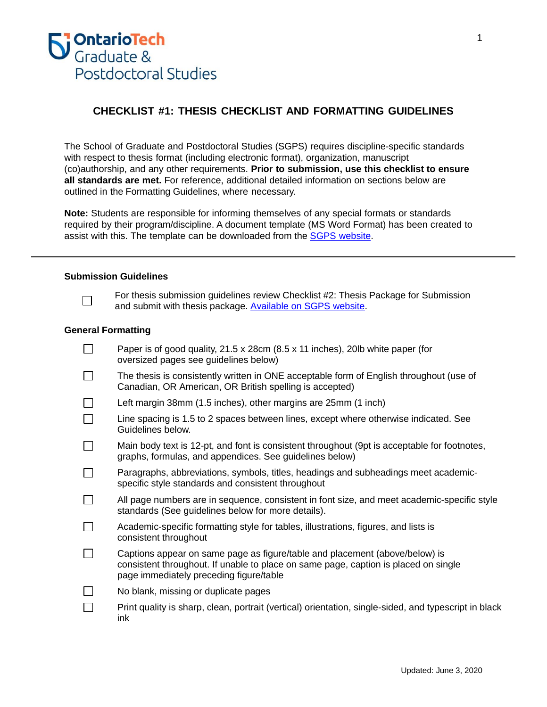

# **CHECKLIST #1: THESIS CHECKLIST AND FORMATTING GUIDELINES**

The School of Graduate and Postdoctoral Studies (SGPS) requires discipline-specific standards with respect to thesis format (including electronic format), organization, manuscript (co)authorship, and any other requirements. **Prior to submission, use this checklist to ensure all standards are met.** For reference, additional detailed information on sections below are outlined in the Formatting Guidelines, where necessary.

**Note:** Students are responsible for informing themselves of any special formats or standards required by their program/discipline. A document template (MS Word Format) has been created to assist with this. The template can be downloaded from the SGPS [website.](https://shared.uoit.ca/shared/faculty/grad/assets/Publications/Thesis-Publications/uoit_thesis_template_sgps.docx)

#### **Submission Guidelines**



For thesis submission guidelines review Checklist #2: Thesis Package for Submission and submit with thesis package. [Available on SGPS website.](https://shared.uoit.ca/shared/faculty/grad/assets/Forms/Thesis-and-non-thesis-submission-forms/Thesis-procedure-forms/Student-forms-thesis-procedures/Checklist%20for%20Final%20Thesis%20Pkg.pdf)

#### **General Formatting**

| Paper is of good quality, 21.5 x 28cm (8.5 x 11 inches), 20lb white paper (for<br>oversized pages see guidelines below)                                                                                       |
|---------------------------------------------------------------------------------------------------------------------------------------------------------------------------------------------------------------|
| The thesis is consistently written in ONE acceptable form of English throughout (use of<br>Canadian, OR American, OR British spelling is accepted)                                                            |
| Left margin 38mm (1.5 inches), other margins are 25mm (1 inch)                                                                                                                                                |
| Line spacing is 1.5 to 2 spaces between lines, except where otherwise indicated. See<br>Guidelines below.                                                                                                     |
| Main body text is 12-pt, and font is consistent throughout (9pt is acceptable for footnotes,<br>graphs, formulas, and appendices. See guidelines below)                                                       |
| Paragraphs, abbreviations, symbols, titles, headings and subheadings meet academic-<br>specific style standards and consistent throughout                                                                     |
| All page numbers are in sequence, consistent in font size, and meet academic-specific style<br>standards (See guidelines below for more details).                                                             |
| Academic-specific formatting style for tables, illustrations, figures, and lists is<br>consistent throughout                                                                                                  |
| Captions appear on same page as figure/table and placement (above/below) is<br>consistent throughout. If unable to place on same page, caption is placed on single<br>page immediately preceding figure/table |
| No blank, missing or duplicate pages                                                                                                                                                                          |
| Print quality is sharp, clean, portrait (vertical) orientation, single-sided, and typescript in black<br>ink                                                                                                  |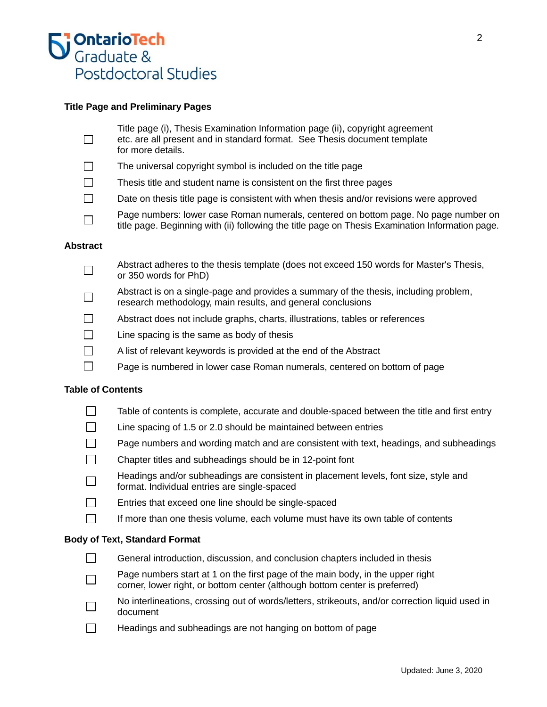

# **Title Page and Preliminary Pages**

- Title page (i), Thesis Examination Information page (ii), copyright agreement П etc. are all present and in standard format. See Thesis document template for more details.
- $\Box$ The universal copyright symbol is included on the title page
- $\Box$ Thesis title and student name is consistent on the first three pages
- $\Box$ Date on thesis title page is consistent with when thesis and/or revisions were approved
- Page numbers: lower case Roman numerals, centered on bottom page. No page number on  $\Box$ title page. Beginning with (ii) following the title page on Thesis Examination Information page.

#### **Abstract**

- Abstract adheres to the thesis template (does not exceed 150 words for Master's Thesis,  $\Box$ or 350 words for PhD)
- Abstract is on a single-page and provides a summary of the thesis, including problem,  $\Box$ research methodology, main results, and general conclusions
- $\Box$ Abstract does not include graphs, charts, illustrations, tables or references
- $\Box$ Line spacing is the same as body of thesis
- $\Box$ A list of relevant keywords is provided at the end of the Abstract
- $\Box$ Page is numbered in lower case Roman numerals, centered on bottom of page

#### **Table of Contents**

- П Table of contents is complete, accurate and double-spaced between the title and first entry
- $\Box$ Line spacing of 1.5 or 2.0 should be maintained between entries
- Page numbers and wording match and are consistent with text, headings, and subheadings
- Chapter titles and subheadings should be in 12-point font
- Headings and/or subheadings are consistent in placement levels, font size, style and  $\Box$ format. Individual entries are single-spaced
- $\Box$ Entries that exceed one line should be single-spaced
- $\Box$ If more than one thesis volume, each volume must have its own table of contents

#### **Body of Text, Standard Format**

- $\Box$ General introduction, discussion, and conclusion chapters included in thesis
- Page numbers start at 1 on the first page of the main body, in the upper right П corner, lower right, or bottom center (although bottom center is preferred)
- No interlineations, crossing out of words/letters, strikeouts, and/or correction liquid used in П document
- $\Box$ Headings and subheadings are not hanging on bottom of page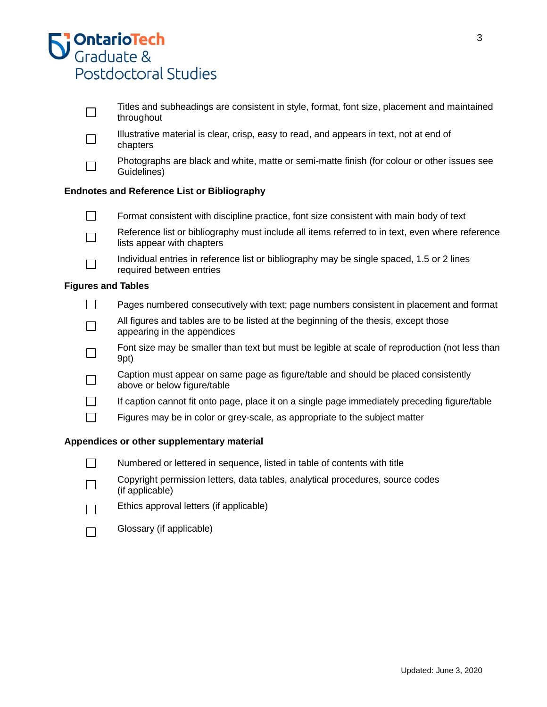|                                                    | <b>S' OntarioTech</b><br><b>S</b> ' Graduate &                                                                                | 3 |  |  |  |  |
|----------------------------------------------------|-------------------------------------------------------------------------------------------------------------------------------|---|--|--|--|--|
|                                                    | Postdoctoral Studies                                                                                                          |   |  |  |  |  |
|                                                    | Titles and subheadings are consistent in style, format, font size, placement and maintained<br>throughout                     |   |  |  |  |  |
|                                                    | Illustrative material is clear, crisp, easy to read, and appears in text, not at end of<br>chapters                           |   |  |  |  |  |
|                                                    | Photographs are black and white, matte or semi-matte finish (for colour or other issues see<br>Guidelines)                    |   |  |  |  |  |
| <b>Endnotes and Reference List or Bibliography</b> |                                                                                                                               |   |  |  |  |  |
|                                                    | Format consistent with discipline practice, font size consistent with main body of text                                       |   |  |  |  |  |
|                                                    | Reference list or bibliography must include all items referred to in text, even where reference<br>lists appear with chapters |   |  |  |  |  |
|                                                    | Individual entries in reference list or bibliography may be single spaced, 1.5 or 2 lines<br>required between entries         |   |  |  |  |  |
|                                                    | <b>Figures and Tables</b>                                                                                                     |   |  |  |  |  |
|                                                    | Pages numbered consecutively with text; page numbers consistent in placement and format                                       |   |  |  |  |  |
|                                                    | All figures and tables are to be listed at the beginning of the thesis, except those<br>appearing in the appendices           |   |  |  |  |  |
|                                                    | Font size may be smaller than text but must be legible at scale of reproduction (not less than<br>9pt)                        |   |  |  |  |  |
|                                                    | Caption must appear on same page as figure/table and should be placed consistently<br>above or below figure/table             |   |  |  |  |  |
|                                                    | If caption cannot fit onto page, place it on a single page immediately preceding figure/table                                 |   |  |  |  |  |
|                                                    | Figures may be in color or grey-scale, as appropriate to the subject matter                                                   |   |  |  |  |  |
|                                                    | Appendices or other supplementary material                                                                                    |   |  |  |  |  |
|                                                    | Numbered or lettered in sequence, listed in table of contents with title                                                      |   |  |  |  |  |

- Copyright permission letters, data tables, analytical procedures, source codes  $\Box$ (if applicable)
- Ethics approval letters (if applicable)  $\Box$
- Glossary (if applicable) $\Box$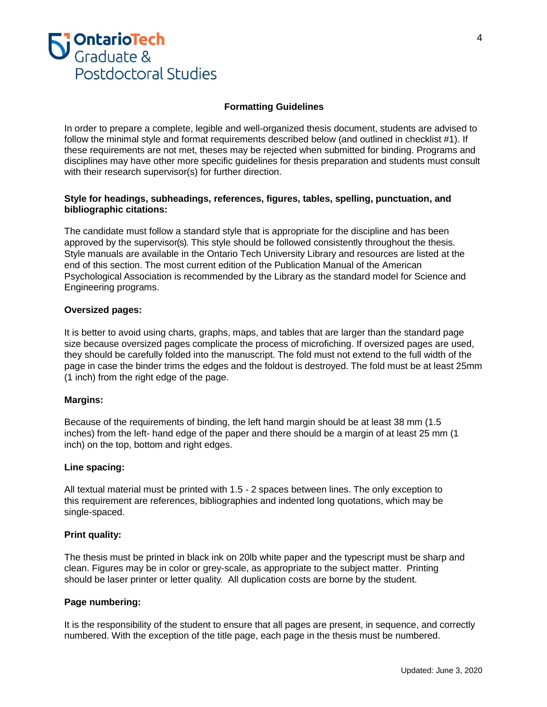

### **Formatting Guidelines**

In order to prepare a complete, legible and well-organized thesis document, students are advised to follow the minimal style and format requirements described below (and outlined in checklist #1). If these requirements are not met, theses may be rejected when submitted for binding. Programs and disciplines may have other more specific guidelines for thesis preparation and students must consult with their research supervisor(s) for further direction.

# **Style for headings, subheadings, references, figures, tables, spelling, punctuation, and bibliographic citations:**

The candidate must follow a standard style that is appropriate for the discipline and has been approved by the supervisor(s). This style should be followed consistently throughout the thesis. Style manuals are available in the Ontario Tech University Library and resources are listed at the end of this section. The most current edition of the Publication Manual of the American Psychological Association is recommended by the Library as the standard model for Science and Engineering programs.

#### **Oversized pages:**

It is better to avoid using charts, graphs, maps, and tables that are larger than the standard page size because oversized pages complicate the process of microfiching. If oversized pages are used, they should be carefully folded into the manuscript. The fold must not extend to the full width of the page in case the binder trims the edges and the foldout is destroyed. The fold must be at least 25mm (1 inch) from the right edge of the page.

#### **Margins:**

Because of the requirements of binding, the left hand margin should be at least 38 mm (1.5 inches) from the left- hand edge of the paper and there should be a margin of at least 25 mm (1 inch) on the top, bottom and right edges.

#### **Line spacing:**

All textual material must be printed with 1.5 - 2 spaces between lines. The only exception to this requirement are references, bibliographies and indented long quotations, which may be single-spaced.

#### **Print quality:**

The thesis must be printed in black ink on 20lb white paper and the typescript must be sharp and clean. Figures may be in color or grey-scale, as appropriate to the subject matter. Printing should be laser printer or letter quality. All duplication costs are borne by the student.

#### **Page numbering:**

It is the responsibility of the student to ensure that all pages are present, in sequence, and correctly numbered. With the exception of the title page, each page in the thesis must be numbered.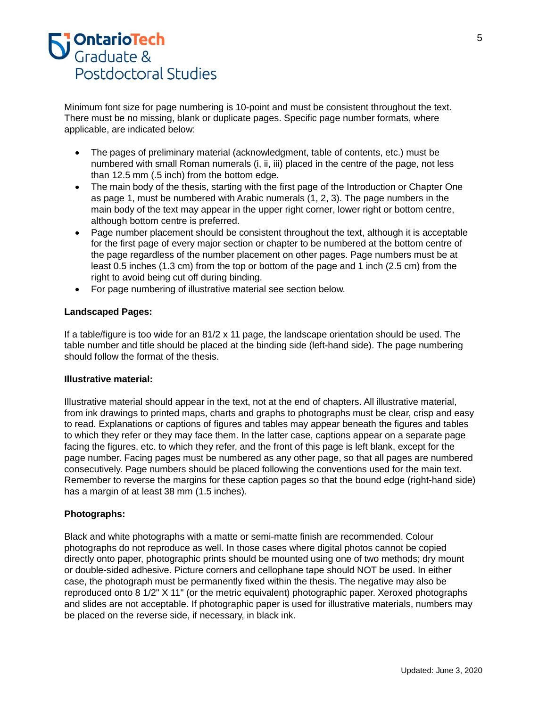

Minimum font size for page numbering is 10-point and must be consistent throughout the text. There must be no missing, blank or duplicate pages. Specific page number formats, where applicable, are indicated below:

- The pages of preliminary material (acknowledgment, table of contents, etc.) must be numbered with small Roman numerals (i, ii, iii) placed in the centre of the page, not less than 12.5 mm (.5 inch) from the bottom edge.
- The main body of the thesis, starting with the first page of the Introduction or Chapter One as page 1, must be numbered with Arabic numerals (1, 2, 3). The page numbers in the main body of the text may appear in the upper right corner, lower right or bottom centre, although bottom centre is preferred.
- Page number placement should be consistent throughout the text, although it is acceptable for the first page of every major section or chapter to be numbered at the bottom centre of the page regardless of the number placement on other pages. Page numbers must be at least 0.5 inches (1.3 cm) from the top or bottom of the page and 1 inch (2.5 cm) from the right to avoid being cut off during binding.
- For page numbering of illustrative material see section below.

# **Landscaped Pages:**

If a table/figure is too wide for an 81/2 x 11 page, the landscape orientation should be used. The table number and title should be placed at the binding side (left-hand side). The page numbering should follow the format of the thesis.

#### **Illustrative material:**

Illustrative material should appear in the text, not at the end of chapters. All illustrative material, from ink drawings to printed maps, charts and graphs to photographs must be clear, crisp and easy to read. Explanations or captions of figures and tables may appear beneath the figures and tables to which they refer or they may face them. In the latter case, captions appear on a separate page facing the figures, etc. to which they refer, and the front of this page is left blank, except for the page number. Facing pages must be numbered as any other page, so that all pages are numbered consecutively. Page numbers should be placed following the conventions used for the main text. Remember to reverse the margins for these caption pages so that the bound edge (right-hand side) has a margin of at least 38 mm (1.5 inches).

#### **Photographs:**

Black and white photographs with a matte or semi-matte finish are recommended. Colour photographs do not reproduce as well. In those cases where digital photos cannot be copied directly onto paper, photographic prints should be mounted using one of two methods; dry mount or double-sided adhesive. Picture corners and cellophane tape should NOT be used. In either case, the photograph must be permanently fixed within the thesis. The negative may also be reproduced onto 8 1/2" X 11" (or the metric equivalent) photographic paper. Xeroxed photographs and slides are not acceptable. If photographic paper is used for illustrative materials, numbers may be placed on the reverse side, if necessary, in black ink.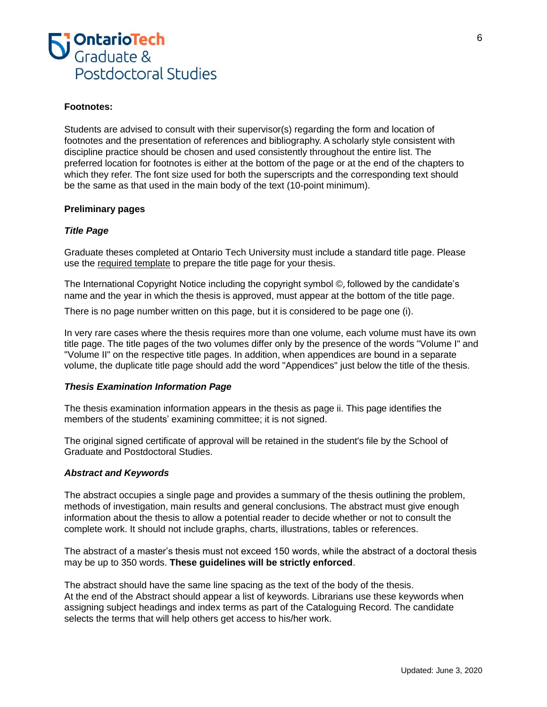

#### **Footnotes:**

Students are advised to consult with their supervisor(s) regarding the form and location of footnotes and the presentation of references and bibliography. A scholarly style consistent with discipline practice should be chosen and used consistently throughout the entire list. The preferred location for footnotes is either at the bottom of the page or at the end of the chapters to which they refer. The font size used for both the superscripts and the corresponding text should be the same as that used in the main body of the text (10-point minimum).

#### **Preliminary pages**

# *Title Page*

Graduate theses completed at Ontario Tech University must include a standard title page. Please use the required template to prepare the title page for your thesis.

The International Copyright Notice including the copyright symbol ©, followed by the candidate's name and the year in which the thesis is approved, must appear at the bottom of the title page.

There is no page number written on this page, but it is considered to be page one (i).

In very rare cases where the thesis requires more than one volume, each volume must have its own title page. The title pages of the two volumes differ only by the presence of the words "Volume I" and "Volume II" on the respective title pages. In addition, when appendices are bound in a separate volume, the duplicate title page should add the word "Appendices" just below the title of the thesis.

#### *Thesis Examination Information Page*

The thesis examination information appears in the thesis as page ii. This page identifies the members of the students' examining committee; it is not signed.

The original signed certificate of approval will be retained in the student's file by the School of Graduate and Postdoctoral Studies.

#### *Abstract and Keywords*

The abstract occupies a single page and provides a summary of the thesis outlining the problem, methods of investigation, main results and general conclusions. The abstract must give enough information about the thesis to allow a potential reader to decide whether or not to consult the complete work. It should not include graphs, charts, illustrations, tables or references.

The abstract of a master's thesis must not exceed 150 words, while the abstract of a doctoral thesis may be up to 350 words. **These guidelines will be strictly enforced**.

The abstract should have the same line spacing as the text of the body of the thesis. At the end of the Abstract should appear a list of keywords. Librarians use these keywords when assigning subject headings and index terms as part of the Cataloguing Record. The candidate selects the terms that will help others get access to his/her work.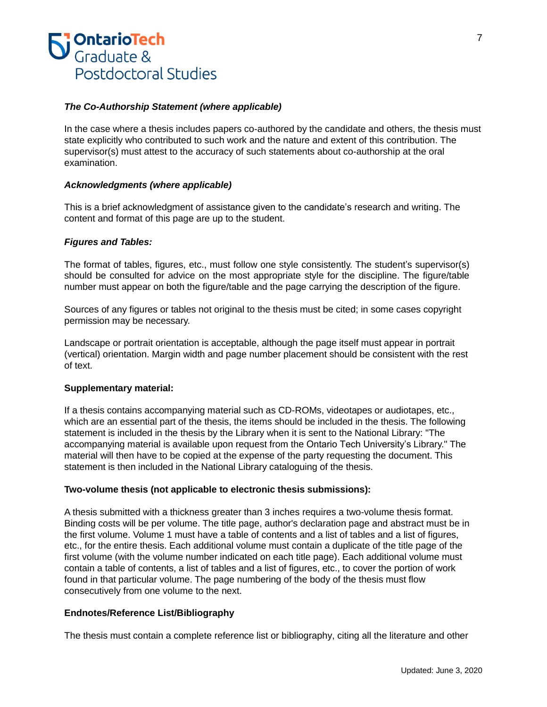

# *The Co-Authorship Statement (where applicable)*

In the case where a thesis includes papers co-authored by the candidate and others, the thesis must state explicitly who contributed to such work and the nature and extent of this contribution. The supervisor(s) must attest to the accuracy of such statements about co-authorship at the oral examination.

#### *Acknowledgments (where applicable)*

This is a brief acknowledgment of assistance given to the candidate's research and writing. The content and format of this page are up to the student.

### *Figures and Tables:*

The format of tables, figures, etc., must follow one style consistently. The student's supervisor(s) should be consulted for advice on the most appropriate style for the discipline. The figure/table number must appear on both the figure/table and the page carrying the description of the figure.

Sources of any figures or tables not original to the thesis must be cited; in some cases copyright permission may be necessary.

Landscape or portrait orientation is acceptable, although the page itself must appear in portrait (vertical) orientation. Margin width and page number placement should be consistent with the rest of text.

### **Supplementary material:**

If a thesis contains accompanying material such as CD-ROMs, videotapes or audiotapes, etc., which are an essential part of the thesis, the items should be included in the thesis. The following statement is included in the thesis by the Library when it is sent to the National Library: "The accompanying material is available upon request from the Ontario Tech University's Library." The material will then have to be copied at the expense of the party requesting the document. This statement is then included in the National Library cataloguing of the thesis.

#### **Two-volume thesis (not applicable to electronic thesis submissions):**

A thesis submitted with a thickness greater than 3 inches requires a two-volume thesis format. Binding costs will be per volume. The title page, author's declaration page and abstract must be in the first volume. Volume 1 must have a table of contents and a list of tables and a list of figures, etc., for the entire thesis. Each additional volume must contain a duplicate of the title page of the first volume (with the volume number indicated on each title page). Each additional volume must contain a table of contents, a list of tables and a list of figures, etc., to cover the portion of work found in that particular volume. The page numbering of the body of the thesis must flow consecutively from one volume to the next.

# **Endnotes/Reference List/Bibliography**

The thesis must contain a complete reference list or bibliography, citing all the literature and other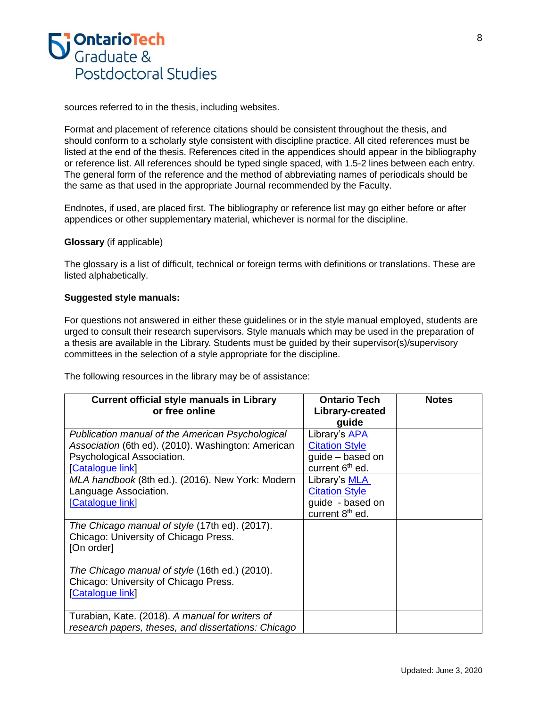

sources referred to in the thesis, including websites.

Format and placement of reference citations should be consistent throughout the thesis, and should conform to a scholarly style consistent with discipline practice. All cited references must be listed at the end of the thesis. References cited in the appendices should appear in the bibliography or reference list. All references should be typed single spaced, with 1.5-2 lines between each entry. The general form of the reference and the method of abbreviating names of periodicals should be the same as that used in the appropriate Journal recommended by the Faculty.

Endnotes, if used, are placed first. The bibliography or reference list may go either before or after appendices or other supplementary material, whichever is normal for the discipline.

# **Glossary** (if applicable)

The glossary is a list of difficult, technical or foreign terms with definitions or translations. These are listed alphabetically.

#### **Suggested style manuals:**

For questions not answered in either these guidelines or in the style manual employed, students are urged to consult their research supervisors. Style manuals which may be used in the preparation of a thesis are available in the Library. Students must be guided by their supervisor(s)/supervisory committees in the selection of a style appropriate for the discipline.

The following resources in the library may be of assistance:

| <b>Current official style manuals in Library</b>    | <b>Ontario Tech</b>         | <b>Notes</b> |
|-----------------------------------------------------|-----------------------------|--------------|
| or free online                                      | Library-created             |              |
|                                                     | guide                       |              |
| Publication manual of the American Psychological    | Library's APA               |              |
| Association (6th ed). (2010). Washington: American  | <b>Citation Style</b>       |              |
| Psychological Association.                          | guide - based on            |              |
| [Catalogue link]                                    | current 6 <sup>th</sup> ed. |              |
| MLA handbook (8th ed.). (2016). New York: Modern    | Library's MLA               |              |
| Language Association.                               | <b>Citation Style</b>       |              |
| [Catalogue link]                                    | guide - based on            |              |
|                                                     | current 8 <sup>th</sup> ed. |              |
| The Chicago manual of style (17th ed). (2017).      |                             |              |
| Chicago: University of Chicago Press.               |                             |              |
| [On order]                                          |                             |              |
|                                                     |                             |              |
| The Chicago manual of style (16th ed.) (2010).      |                             |              |
| Chicago: University of Chicago Press.               |                             |              |
| [Catalogue link]                                    |                             |              |
|                                                     |                             |              |
| Turabian, Kate. (2018). A manual for writers of     |                             |              |
| research papers, theses, and dissertations: Chicago |                             |              |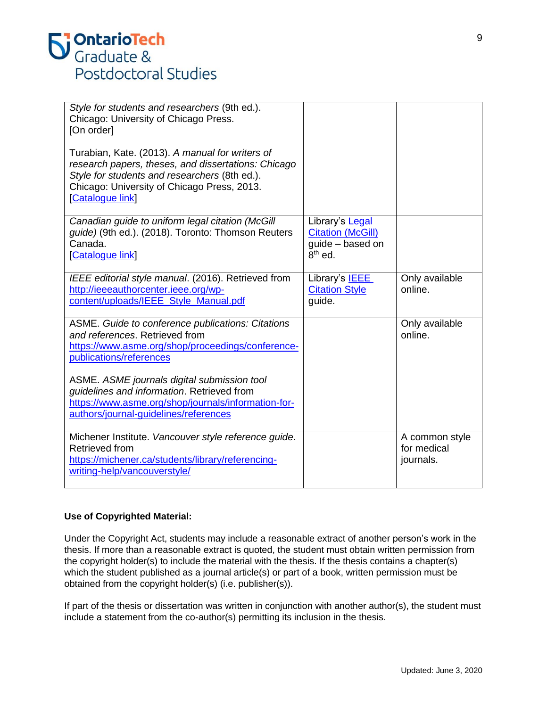| Style for students and researchers (9th ed.).<br>Chicago: University of Chicago Press.<br>[On order]<br>Turabian, Kate. (2013). A manual for writers of<br>research papers, theses, and dissertations: Chicago<br>Style for students and researchers (8th ed.).<br>Chicago: University of Chicago Press, 2013.<br>[Catalogue link] |                                                                              |                                            |
|------------------------------------------------------------------------------------------------------------------------------------------------------------------------------------------------------------------------------------------------------------------------------------------------------------------------------------|------------------------------------------------------------------------------|--------------------------------------------|
| Canadian guide to uniform legal citation (McGill<br>guide) (9th ed.). (2018). Toronto: Thomson Reuters<br>Canada.<br>[Catalogue link]                                                                                                                                                                                              | Library's Legal<br><b>Citation (McGill)</b><br>guide - based on<br>$8th$ ed. |                                            |
| IEEE editorial style manual. (2016). Retrieved from<br>http://ieeeauthorcenter.ieee.org/wp-<br>content/uploads/IEEE_Style_Manual.pdf                                                                                                                                                                                               | Library's <b>IEEE</b><br><b>Citation Style</b><br>guide.                     | Only available<br>online.                  |
| ASME. Guide to conference publications: Citations<br>and references. Retrieved from<br>https://www.asme.org/shop/proceedings/conference-<br>publications/references                                                                                                                                                                |                                                                              | Only available<br>online.                  |
| ASME. ASME journals digital submission tool<br>guidelines and information. Retrieved from<br>https://www.asme.org/shop/journals/information-for-<br>authors/journal-guidelines/references                                                                                                                                          |                                                                              |                                            |
| Michener Institute. Vancouver style reference guide.<br>Retrieved from<br>https://michener.ca/students/library/referencing-<br>writing-help/vancouverstyle/                                                                                                                                                                        |                                                                              | A common style<br>for medical<br>journals. |

# **Use of Copyrighted Material:**

Under the Copyright Act, students may include a reasonable extract of another person's work in the thesis. If more than a reasonable extract is quoted, the student must obtain written permission from the copyright holder(s) to include the material with the thesis. If the thesis contains a chapter(s) which the student published as a journal article(s) or part of a book, written permission must be obtained from the copyright holder(s) (i.e. publisher(s)).

If part of the thesis or dissertation was written in conjunction with another author(s), the student must include a statement from the co-author(s) permitting its inclusion in the thesis.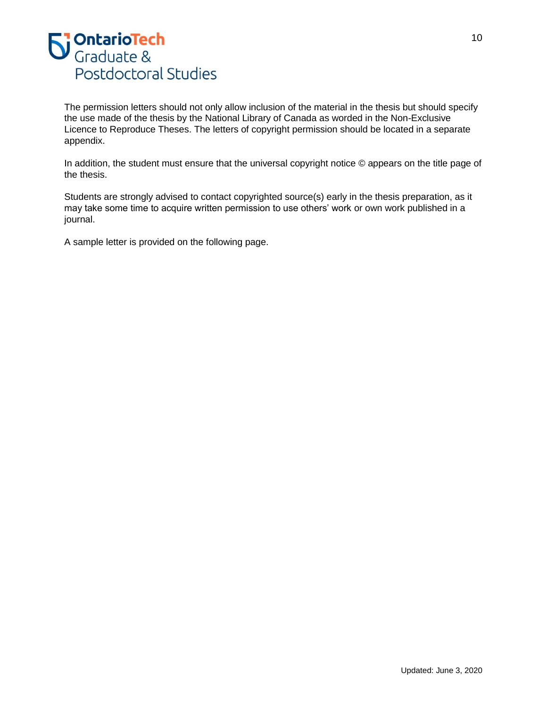

The permission letters should not only allow inclusion of the material in the thesis but should specify the use made of the thesis by the National Library of Canada as worded in the Non-Exclusive Licence to Reproduce Theses. The letters of copyright permission should be located in a separate appendix.

In addition, the student must ensure that the universal copyright notice © appears on the title page of the thesis.

Students are strongly advised to contact copyrighted source(s) early in the thesis preparation, as it may take some time to acquire written permission to use others' work or own work published in a journal.

A sample letter is provided on the following page.